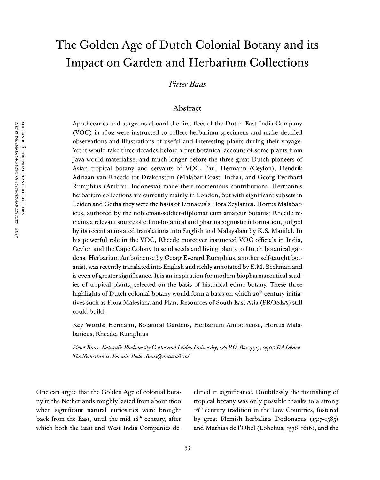# The Golden Age of Dutch Colonial Botany and its Impact on Garden and Herbarium Collections

*PieterBaas*

### Abstract

Apothecaries and surgeons aboard the first fleet of the Dutch East India Company (VOC) in 1602 were instructed to collect herbarium specimens and make detailed observations and illustrations of useful and interesting plants during their voyage. Yet it would take three decades before a first botanical account of some plants from Java would materialise, and much longer before the three great Dutch pioneers of Asian tropical botany and servants of VOC, Paul Hermann (Ceylon), Hendrik Adriaan van Rheede tot Drakenstein (Malabar Coast, India), and Georg Everhard Rumphius (Ambon, Indonesia) made their momentous contributions. Hermann's herbarium collections are currently mainly in London, but with significant subsets in Leiden and Gotha they were the basis of Linnaeus's Flora Zeylanica. Hortus Malabaricus, authored by the nobleman-soldier-diplomat cum amateur botanist Rheede remains a relevant source of ethno-botanical and pharmacognostic information, judged by its recent annotated translations into English and Malayalam by K.S. Manilal. In his powerful role in the VOC, Rheede moreover instructed VOC officials in India, Ceylon and the Cape Colony to send seeds and living plants to Dutch botanical gardens. Herbarium Amboinense by Georg Everard Rumphius, another self-taught botanist, was recently translated into English and richly annotated by E.M. Beekman and is even of greater significance. It is an inspiration for modern biopharmaceutical studies of tropical plants, selected on the basis of historical ethno-botany. These three highlights of Dutch colonial botany would form a basis on which 20<sup>th</sup> century initiatives such as Flora Malesiana and Plant Resources of South East Asia (PROSEA) still could build.

Key Words: Hermann, Botanical Gardens, Herbarium Amboinense, Hortus Malabaricus, Rheede, Rumphius

*PieterBaas, NaturalisBiodiversity Center andLeiden University, c/oP.O. Boxggiy, 2300 RA Leiden, TheNetherlands. E-mail: Pieter.Baas@naturalis.nl.*

One can argue that the Golden Age of colonial botany in the Netherlands roughly lasted from about 1600 when significant natural curiosities were brought back from the East, until the mid 18<sup>th</sup> century, after which both the East and West India Companies de-

clined in significance. Doubtlessly the flourishing of tropical botany was only possible thanks to a strong 16<sup>th</sup> century tradition in the Low Countries, fostered by great Flemish herbalists Dodonaeus (1517-1585) and Mathias de <sup>1</sup>'Obel (Lobelius; 1538-1616), and the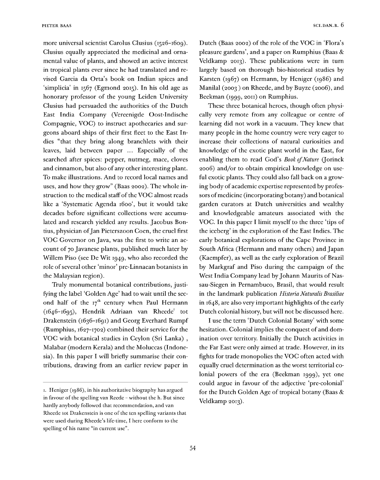more universal scientist Carolus Clusius (1526-1609). Clusius equally appreciated the medicinal and ornamental value of plants, and showed an active interest in tropical plants ever since he had translated and revised Garcia da Orta's book on Indian spices and 'simplicia' in 1567 (Egmond 2015). In his old age as honorary professor of the young Leiden University Clusius had persuaded the authorities of the Dutch East India Company (Vereenigde Oost-Indische Compagnie, VOC) to instruct apothecaries and surgeons aboard ships of their first fleet to the East Indies "that they bring along branchlets with their leaves, laid between paper ... Especially of the searched after spices: pepper, nutmeg, mace, cloves and cinnamon, but also of any other interesting plant. To make illustrations. And to record local names and uses, and how they grow" (Baas 2002). The whole instruction to the medical staff of the VOC almost reads like a 'Systematic Agenda i6oo', but it would take decades before significant collections were accumulated and research yielded any results. Jacobus Bontius, physician ofJan Pieterszoon Coen, the cruel first VOC Governor on Java, was the first to write an account of 70 Javanese plants, published much later by Willem Piso (see De Wit 1949, who also recorded the role of several other 'minor' pre-Linnaean botanists in the Malaysian region).

Truly monumental botanical contributions, justifying the label 'Golden Age' had to wait until the second half of the  $17<sup>th</sup>$  century when Paul Hermann  $(1646-1695)$  $(1646-1695)$  $(1646-1695)$ , Hendrik Adriaan van Rheede<sup>r</sup> tot Drakenstein (1636-1691) and Georg Everhard Rumpf (Rumphius, 1627-1702) combined their service for the VOC with botanical studies in Ceylon (Sri Lanka) , Malabar (modern Kerala) and the Moluccas (Indonesia). In this paper I will briefly summarise their contributions, drawing from an earlier review paper in

Dutch (Baas 2002) of the role of the VOC in 'Flora'<sup>s</sup> pleasure gardens', and a paper on Rumphius (Baas & Veldkamp 2013). These publications were in turn largely based on thorough bio-historical studies by Karsten (1967) on Hermann, by Heniger (1986) and Manilal (2003 ) on Rheede, and by Buyze (2006), and Beekman (1999, 2011) on Rumphius.

These three botanical heroes, though often physically very remote from any colleague or centre of learning did not work in a vacuum. They knew that many people in the home country were very eager to increase their collections of natural curiosities and knowledge of the exotic plant world in the East, for enabling them to read God's *Book ofNature* (Jorinck 2006) and/or to obtain empirical knowledge on useful exotic plants. They could also fall back on a growing body of academic expertise represented by professors of medicine (incorporating botany) and botanical garden curators at Dutch universities and wealthy and knowledgeable amateurs associated with the VOC. In this paper I limit myself to the three 'tips of the iceberg' in the exploration of the East Indies. The early botanical explorations of the Cape Province in South Africa (Hermann and many others) and Japan (Kaempfer), as well as the early exploration of Brazil by Markgraf and Piso during the campaign of the West India Company lead by Johann Maurits of Nassau-Siegen in Pernambuco, Brasil, that would result in the landmark publication *Historia Naturalis Brasiliae* in  $1648$ , are also very important highlights of the early Dutch colonial history, but will not be discussed here.

I use the term 'Dutch Colonial Botany' with some hesitation. Colonial implies the conquest of and domination over territory. Initially the Dutch activities in the Far East were only aimed at trade. However, in its fights for trade monopolies the VOC often acted with equally cruel determination as the worst territorial colonial powers of the era (Beekman 1999), yet one could argue in favour of the adjective 'pre-colonial' for the Dutch Golden Age of tropical botany (Baas  $\&$ Veldkamp 2013).

<span id="page-1-0"></span>i. Heniger (1986), in his authoritative biography has argued in favour of the spelling van Reede - without the h. But since hardly anybody followed that recommendation, and van Rheede tot Drakenstein is one of the ten spelling variants that were used during Rheede's life-time, I here conform to the spelling of his name "in current use".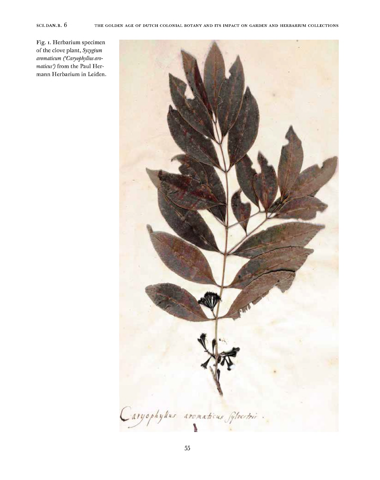Fig. I. Herbarium specimen of the clove plant, *Syzygium aromaticum ('Caryophyllus aromaticus)* from the Paul Hermann Herbarium in Leiden.

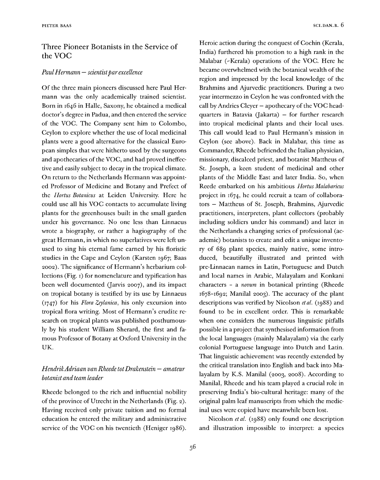## Three Pioneer Botanists in the Service of the VOC

#### *Paul Hermann* — *scientist par excellence*

Of the three main pioneers discussed here Paul Hermann was the only academically trained scientist. Born in 1646 in Halle, Saxony, he obtained a medical doctor's degree in Padua, and then entered the service of the VOC. The Company sent him to Colombo, Ceylon to explore whether the use of local medicinal plants were a good alternative for the classical European simples that were hitherto used by the surgeons and apothecaries of the VOC, and had proved ineffective and easily subject to decay in the tropical climate. On return to the Netherlands Hermann was appointed Professor of Medicine and Botany and Prefect of the *Hortus Botanicus* at Leiden University. Here he could use all his VOC contacts to accumulate living plants for the greenhouses built in the small garden under his governance. No one less than Linnaeus wrote a biography, or rather a hagiography of the great Hermann, in which no superlatives were left unused to sing his eternal fame earned by his floristic studies in the Cape and Ceylon (Karsten 1967; Baas 2002). The significance of Hermann's herbarium collections (Fig. 1) for nomenclature and typification has been well documented (Jarvis 2007), and its impact on tropical botany is testified by its use by Linnaeus (1747) for his *Flora Zeylanica,* his only excursion into tropical flora writing. Most of Hermann's erudite research on tropical plants was published posthumously by his student William Sherard, the first and famous Professor of Botany at Oxford University in the UK.

## *HendrikAdriaan vanRheedetotDrakenstein — amateur botanist andteam leader*

Rheede belonged to the rich and influential nobility of the province of Utrecht in the Netherlands (Fig. 2). Having received only private tuition and no formal education he entered the military and administrative service of the VOC on his twentieth (Heniger 1986).

Heroic action during the conquest of Cochin (Kerala, India) furthered his promotion to a high rank in the Malabar (-Kerala) operations of the VOC. Here he became overwhelmed with the botanical wealth of the region and impressed by the local knowledge of the Brahmins and Ajurvedic practitioners. During a two year intermezzo in Ceylon he was confronted with the call by Andries Cleyer - apothecary of the VOC headquarters in Batavia (Jakarta) — for further research into tropical medicinal plants and their local uses. This call would lead to Paul Hermann's mission in Ceylon (see above). Back in Malabar, this time as Commander, Rheede befriended the Italian physician, missionary, discalced priest, and botanist Mattheus of St. Joseph, a keen student of medicinal and other plants of the Middle East and later India. So, when Reede embarked on his ambitious *Hortus Malabaricus* project in 1674, he could recruit a team of collaborators — Mattheus of St. Joseph, Brahmins, Ajurvedic practitioners, interpreters, plant collectors (probably including soldiers under his command) and later in the Netherlands a changing series of professional (academic) botanists to create and edit a unique inventory of 689 plant species, mainly native, some introduced, beautifully illustrated and printed with pre-Linnaean names in Latin, Portuguese and Dutch and local names in Arabic, Malayalam and Konkani characters - a *novum* in botanical printing (Rheede 1678-1692; Manilal 2003). The accuracy of the plant descriptions was verified by Nicolson *et al.* (1988) and found to be in excellent order. This is remarkable when one considers the numerous linguistic pitfalls possible in a project that synthesised information from the local languages (mainly Malayalam) via the early colonial Portuguese language into Dutch and Latin. That linguistic achievement was recently extended by the critical translation into English and back into Malayalam by K.S. Manilal (2003, 2008). According to Manilal, Rheede and his team played a crucial role in preserving India's bio-cultural heritage: many of the original palm leaf manuscripts from which the medicinal uses were copied have meanwhile been lost.

Nicolson *et al.* (1988) only found one description and illustration impossible to interpret: a species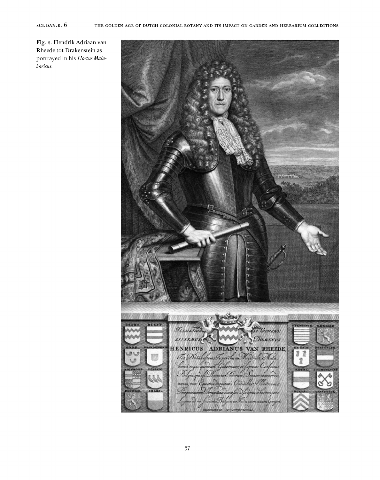Fig. 2. Hendrik Adriaan van Rheede tot Drakenstein as portrayed in his *HortusMalabaricus.*

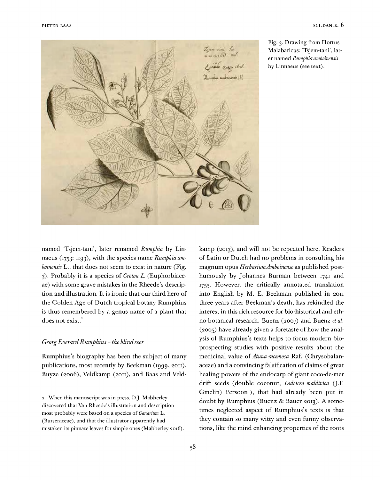

Fig. 3. Drawing from Hortus Malabaricus: 'Tsjem-tani', later named *Rumphia amboinensis* by Linnaeus (see text).

named 'Tsjem-tani', later renamed *Rumphia* by Linnaeus (1753: 1193), with the species name *Rumphia amboinensis* L., that does not seem to exist in nature (Fig. 3). Probably it is a species of *Croton L.* (Euphorbiaceae) with some grave mistakes in the Rheede's description and illustration. It is ironic that our third hero of the Golden Age of Dutch tropical botany Rumphius is thus remembered by a genus name of a plant that does not exist.<sup>[2](#page-5-0)</sup>

#### *GeorgEverardRumphius -the blindseer*

Rumphius's biography has been the subject of many publications, most recently by Beekman (1999, 2011), Buyze (2006), Veldkamp (2011), and Baas and Veldkamp (2013), and will not be repeated here. Readers of Latin or Dutch had no problems in consulting his magnum opus *HerbariumAmboinense* as published posthumously by Johannes Burman between 1741 and 1755. However, the critically annotated translation into English by M. E. Beekman published in 2011 three years after Beekman's death, has rekindled the interest in this rich resource for bio-historical and ethno-botanical research. Buenz (2007) and Buenz *et al.* (2005) have already given a foretaste of how the analysis of Rumphius's texts helps to focus modern bioprospecting studies with positive results about the medicinal value of *Atuna racemosa* Raf. (Chiysobalanaceae) and a convincing falsification of claims of great healing powers of the endocarp of giant coco-de-mer drift seeds (double coconut, *Lodoicea maldivica* (J.F. Gmelin) Persoon ), that had already been put in doubt by Rumphius (Buenz & Bauer 2013). A sometimes neglected aspect of Rumphius's texts is that they contain so many witty and even funny observations, like the mind enhancing properties of the roots

<span id="page-5-0"></span><sup>2.</sup> When this manuscript was in press, DJ. Mabberley discovered that Van Rheede's illustration and description most probably were based on a species of *Canarium* L. (Burseraceae), and that the illustrator apparently had mistaken its pinnate leaves for simple ones (Mabberley 2016).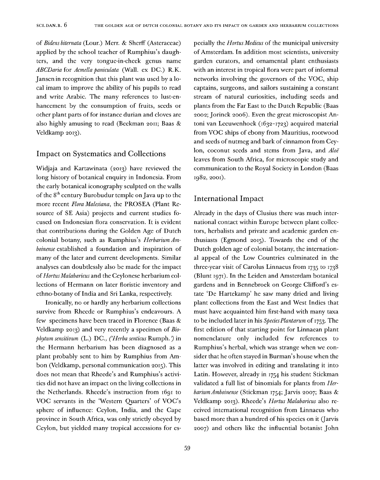of *Bidens biternata* (Lour.) Merr. & Sherff (Asteraceae) applied by the school teacher of Rumphius's daughters, and the very tongue-in-cheek genus name *ABCDaria* for *Acmella paniculata* (Wall, ex DC.) R.K. Jansen in recognition that this plant was used by a local imam to improve the ability of his pupils to read and write Arabic. The many references to lust-enhancement by the consumption of fruits, seeds or other plant parts of for instance durian and cloves are also highly amusing to read (Beekman 2011; Baas & Veldkamp 2013).

#### Impact on Systematics and Collections

Widjaja and Kartawinata (2013) have reviewed the long history of botanical enquiry in Indonesia. From the early botanical iconography sculpted on the walls of the 8<sup>th</sup> century Burobudur temple on Java up to the more recent *Flora Malesiana,* the PROSEA (Plant Resource of SE Asia) projects and current studies focused on Indonesian flora conservation. It is evident that contributions during the Golden Age of Dutch colonial botany, such as Rumphius's *Herbarium Amboinense* established a foundation and inspiration of many of the later and current developments. Similar analyses can doubtlessly also be made for the impact of*HortusMalabaricus* and the Ceylonese herbarium collections of Hermann on later floristic inventory and ethno-botany of India and Sri Lanka, respectively.

Ironically, no or hardly any herbarium collections survive from Rheede or Rumphius's endeavours. A few specimens have been traced in Florence (Baas & Veldkamp 2013) and very recently a specimen of *Biophytum sensitivum* (L.) DC., *('Herba senticus* Rumph. J in the Hermann herbarium has been diagnosed as a plant probably sent to him by Rumphius from Ambon (Veldkamp, personal communication 2015). This does not mean that Rheede's and Rumphius's activities did not have an impact on the living collections in the Netherlands. Rheede's instruction from 1691 to VOC servants in the 'Western Quarters' of VOC'<sup>s</sup> sphere of influence: Ceylon, India, and the Cape province in South Africa, was only strictly obeyed by Ceylon, but yielded many tropical accessions for especially the *Hortus Medicus* of the municipal university of Amsterdam. In addition most scientists, university garden curators, and ornamental plant enthusiasts with an interest in tropical flora were part of informal networks involving the governors of the VOC, ship captains, surgeons, and sailors sustaining a constant stream of natural curiosities, including seeds and plants from the Far East to the Dutch Republic (Baas 2002; Jorinck 2006). Even the great microscopist Antoni van Leeuwenhoek (1632-1723) acquired material from VOC ships of ebony from Mauritius, rootwood and seeds of nutmeg and bark of cinnamon from Ceylon, coconut seeds and stems from Java, and *Aloe* leaves from South Africa, for microscopic study and communication to the Royal Society in London (Baas 1982, 2001).

#### International Impact

Already in the days of Clusius there was much international contact within Europe between plant collectors, herbalists and private and academic garden enthusiasts (Egmond 2015). Towards the end of the Dutch golden age of colonial botany, the international appeal of the Low Countries culminated in the three-year visit of Carolus Linnaeus from 1735 to 1738 (Blunt 1971). In the Leiden and Amsterdam botanical gardens and in Bennebroek on George Clifford's estate 'De Hartekamp' he saw many dried and living plant collections from the East and West Indies that must have acquainted him first-hand with many taxa to be included later in his *SpeciesPlantarum* of 1753. The first edition of that starting point for Linnaean plant nomenclature only included few references to Rumphius's herbal, which was strange when we consider that he often stayed in Burman's house when the latter was involved in editing and translating it into Latin. However, already in 1754 his student Stickman validated a full list of binomials for plants from *HerbariumAmboinense* (Stickman 1754; Jarvis 2007; Baas & Veldkamp 2013). Rheede's *Hortus Malabaricus* also received international recognition from Linnaeus who based more than a hundred of his species on it (Jarvis 2007) and others like the influential botanist John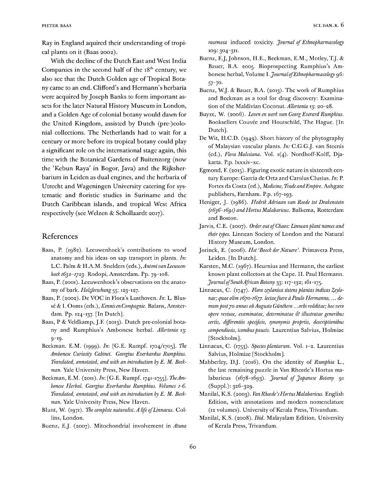Ray in England aquired their understanding of tropical plants on it (Baas 2002).

With the decline of the Dutch East and West India Companies in the second half of the  $18<sup>th</sup>$  century, we also see that the Dutch Golden age of Tropical Botany came to an end. Clifford's and Hermann's herbaria were acquired by Joseph Banks to form important assets for the later Natural History Museum in London, and a Golden Age of colonial botany would dawn for the United Kingdom, assisted by Dutch (pre-)colonial collections. The Netherlands had to wait for a century or more before its tropical botany could play a significant role on the international stage again, this time with the Botanical Gardens of Buitenzorg (now the 'Kebun Raya' in Bogor, Java) and the Rijksherbarium in Leiden as dual engines, and the herbaria of Utrecht and Wageningen University catering for systematic and floristic studies in Suriname and the Dutch Caribbean islands, and tropical West Africa respectively (see Welzen & Schollaardt 2017).

### References

- Baas, P. (1982). Leeuwenhoek's contributions to wood anatomy and his ideas on sap transport in plants. *In-.* L.C. Palm& H.A.M. Snelders *(eds.\Antoni van Leeuwenhoek i6ßs-i/2ß.* Rodopi, Amsterdam. Pp. 79-108.
- Baas, P. (2001). Leeuwenhoek's observations on the anatomy of bark. *Holzforschung* 55: 123-127.
- Baas, P. (2002). De VOC in Flora's Lusthoven. *In*: L. Blusse & I. Ooms (eds.), *KennisenCompagnie.* Balans, Amsterdam. Pp. 124-137. [In Dutch].
- Baas, P & Veldkamp, J.F. (2013). Dutch pre-colonial botany and Rumphius's Ambonese herbal. *Allertonia* 13: 9-19-
- Beekman. E.M. (1999). *In-.* [G.E. Rumpf. 1704/1705]. *The Ambonese Curiosity Cabinet. Georgius Everhardus Rumphius. Translated, annotated, and with an introduction by E. M. Beekman.* Yale University Press, New Haven.
- Beekman, E.M. (2011). *In:* [G.E. Rumpf. 1741-1755]. *TheAmbonese Herbal. Georgius Everhardus Rumphius. Volumes 1-6. Translated, annotated, and with an introduction by E. M. Beekman.* Yale University Press, New Haven.
- Blunt, W. (1971). *The complete naturalist. A life ofLinnaeus.* Collins, London.
- Buenz, E.J. (2007). Mitochondrial involvement in *Atuna*

*racemosa* induced toxicity. *Journal ofEthnopharmacology* 109: 304-311.

- Buenz, E.J, Johnson, H.E., Beekman, E.M., Motley, T.J. & Bauer, B.A. 2005. Bioprospecting Rumphius's Ambonese herbal, Volume *\. JournalofEthnopharmacology* 96: 57-7O-
- Buenz, W.J. & Bauer, B.A. (2013). The work of Rumphius and Beekman as a tool for drug discovery: Examination of the Maldivian Coconut. *Allertonia* 13: 20-28.
- Buyze, W. (2006). *Leven en werk van Georg Everard Rumphius.* Booksellers Couvée and Houtschild, The Hague. [In Dutch].
- De Wit, H.C.D. (1949). Short history of the phytography of Malaysian vascular plants. *In:* C.G.G.J. van Steenis (ed.), *Flora Malesiana.* Vol. 1(4). Nordhoff-Kolff, Djakarta. P.p. lxxxiv-xc.
- Egmond, F. (2015). Figuring exotic nature in sixteenth century Europe: Garcia de Orta and Carolus Clusius. *In:* P. Fortes da Costa (ed.), *Medicine, TradeandEmpire.* Ashgate publishers, Farnham. P.p. 167-193.
- Heniger, J. (1986). *Hedrik Adriaan van Reede tot Drakenstein (0636-0690) andHortus Malabaricus.* Balkema, Rotterdam and Boston.
- Jarvis, C.E. (2007). *Order out ofChaos: Linneanplant names and theirtypes.* Linnean Society of London and the Natural History Museum, London.
- Jorinck, E. (2006). *Het 'BoeckderNatuere'.* Primavera Press, Leiden. [In Dutch].
- Karsten, M.C. (1967). Heurnius and Hermann, the earliest known plant collectors at the Cape. II. Paul Hermann. *JournalofSouthAfricanBotany* 33: 117-132; 161-175.
- Linnaeus, C. (1747). *Flora zeylanica sistensplantas indicas Zeylonae; quae olim 0670-0677. lectaefuere à Paulo Hermanne, ... demumpost70 annos abAugusto Giinthero ...orbi redditae; hoc vero opere revisae, examinatae, determinatae & illustratae generibus certis, differentiis specificis, synonymis propriis, descriptionibus compendiosis, iconibuspaucis.* Laurentius Salvius, Holmiae [Stockholm].
- Linnaeus, C. (1753). *Speciesplantarum.* Vol. 1-2. Laurentius Salvius, Holmiae [Stockholm].
- Mabberley, D.J. (2016). On the identity of *Rumphia* L., the last remaining puzzle in Van Rheede's Hortus malabaricus (1678-1693). *Journal of Japanese Botany* 91 (Suppl.): 326-329.
- Manilal, K.S. (2003). *VanRheede'sHortusMalabaricus.* English Edition, with annotations and modern nomenclature (12 volumes). University of Kerala Press, Trivandum.
- Manilal, K.S. (2008). *Ibid.* Malayalam Edition. University of Kerala Press, Trivandum.